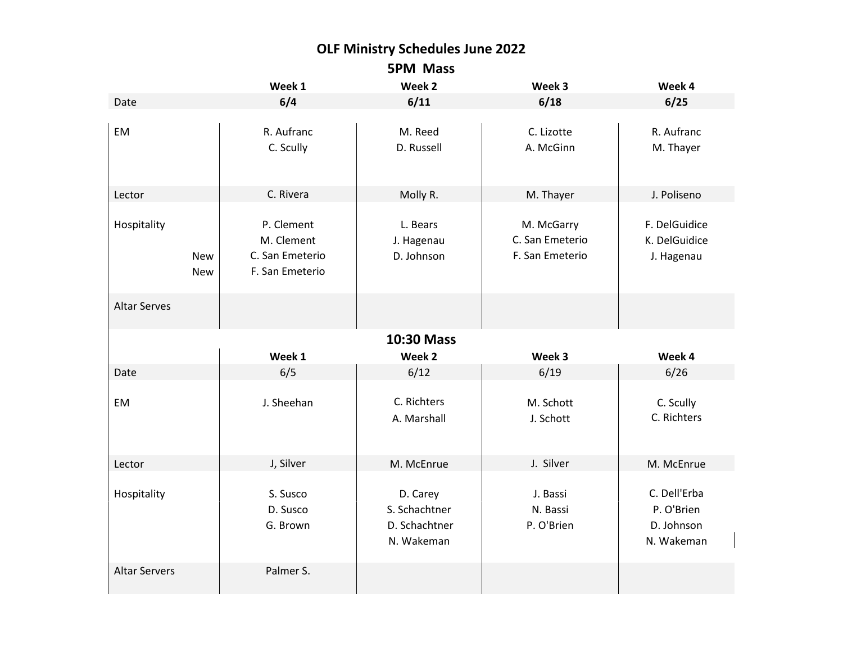## **OLF Ministry Schedules June 2022 5PM Mass**

|                                         | Week 1                                                         | Week 2                                                   | Week 3                                           | Week 4                                                 |  |  |  |  |
|-----------------------------------------|----------------------------------------------------------------|----------------------------------------------------------|--------------------------------------------------|--------------------------------------------------------|--|--|--|--|
| Date                                    | 6/4                                                            | 6/11                                                     | 6/18                                             | 6/25                                                   |  |  |  |  |
| EM                                      | R. Aufranc<br>C. Scully                                        | M. Reed<br>D. Russell                                    | C. Lizotte<br>A. McGinn                          | R. Aufranc<br>M. Thayer                                |  |  |  |  |
| Lector                                  | C. Rivera                                                      | Molly R.                                                 | M. Thayer                                        | J. Poliseno                                            |  |  |  |  |
| Hospitality<br><b>New</b><br><b>New</b> | P. Clement<br>M. Clement<br>C. San Emeterio<br>F. San Emeterio | L. Bears<br>J. Hagenau<br>D. Johnson                     | M. McGarry<br>C. San Emeterio<br>F. San Emeterio | F. DelGuidice<br>K. DelGuidice<br>J. Hagenau           |  |  |  |  |
| <b>Altar Serves</b>                     |                                                                |                                                          |                                                  |                                                        |  |  |  |  |
| 10:30 Mass                              |                                                                |                                                          |                                                  |                                                        |  |  |  |  |
|                                         | Week 1                                                         | Week 2                                                   | Week 3                                           | Week 4                                                 |  |  |  |  |
| Date                                    | 6/5                                                            | 6/12                                                     | 6/19                                             | 6/26                                                   |  |  |  |  |
| EM                                      | J. Sheehan                                                     | C. Richters<br>A. Marshall                               | M. Schott<br>J. Schott                           | C. Scully<br>C. Richters                               |  |  |  |  |
| Lector                                  | J, Silver                                                      | M. McEnrue                                               | J. Silver                                        | M. McEnrue                                             |  |  |  |  |
| Hospitality                             | S. Susco<br>D. Susco<br>G. Brown                               | D. Carey<br>S. Schachtner<br>D. Schachtner<br>N. Wakeman | J. Bassi<br>N. Bassi<br>P. O'Brien               | C. Dell'Erba<br>P. O'Brien<br>D. Johnson<br>N. Wakeman |  |  |  |  |
| <b>Altar Servers</b>                    | Palmer S.                                                      |                                                          |                                                  |                                                        |  |  |  |  |